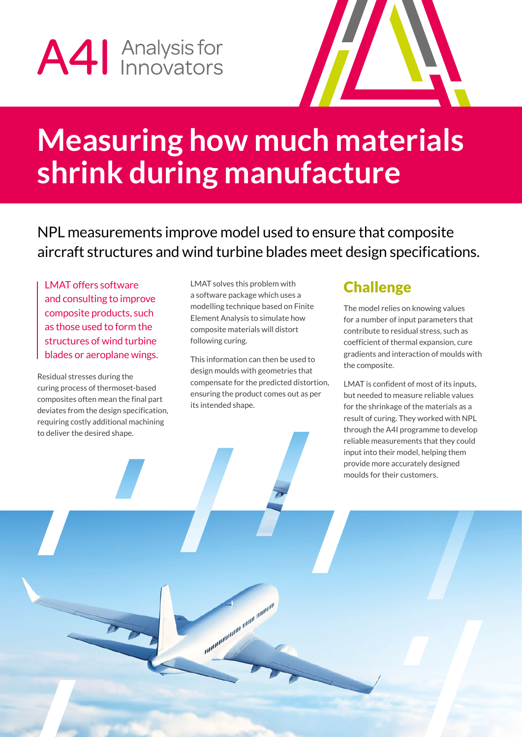# A41 Analysis for



### **Measuring how much materials shrink during manufacture**

NPL measurements improve model used to ensure that composite aircraft structures and wind turbine blades meet design specifications.

LMAT offers software and consulting to improve composite products, such as those used to form the structures of wind turbine blades or aeroplane wings.

Residual stresses during the curing process of thermoset-based composites often mean the final part deviates from the design specification, requiring costly additional machining to deliver the desired shape.

LMAT solves this problem with a software package which uses a modelling technique based on Finite Element Analysis to simulate how composite materials will distort following curing.

This information can then be used to design moulds with geometries that compensate for the predicted distortion, ensuring the product comes out as per its intended shape.

ammunication and amang

### **Challenge**

The model relies on knowing values for a number of input parameters that contribute to residual stress, such as coefficient of thermal expansion, cure gradients and interaction of moulds with the composite.

LMAT is confident of most of its inputs, but needed to measure reliable values for the shrinkage of the materials as a result of curing. They worked with NPL through the A4I programme to develop reliable measurements that they could input into their model, helping them provide more accurately designed moulds for their customers.